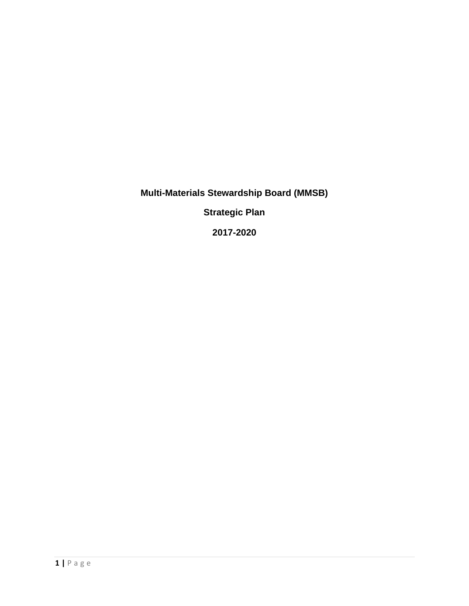**Multi-Materials Stewardship Board (MMSB)**

**Strategic Plan**

**2017-2020**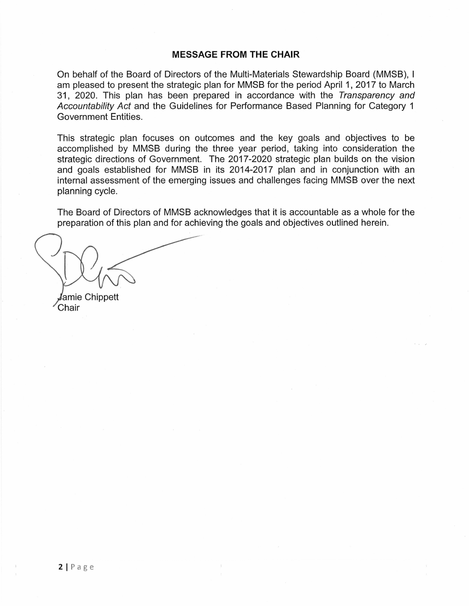#### **MESSAGE FROM THE CHAIR**

On behalf of the Board of Directors of the Multi-Materials Stewardship Board (MMSB), I am pleased to present the strategic plan for MMSB for the period April 1, 2017 to March 31, 2020. This plan has been prepared in accordance with the Transparency and Accountability Act and the Guidelines for Performance Based Planning for Category 1 Government Entities.

This strategic plan focuses on outcomes and the key goals and objectives to be accomplished by MMSB during the three year period, taking into consideration the strategic directions of Government. The 2017-2020 strategic plan builds on the vision and goals established for MMSB in its 2014-2017 plan and in conjunction with an internal assessment of the emerging issues and challenges facing MMSB over the next planning cycle.

The Board of Directors of MMSB acknowledges that it is accountable as a whole for the preparation of this plan and for achieving the goals and objectives outlined herein.

amie Chippett . Chair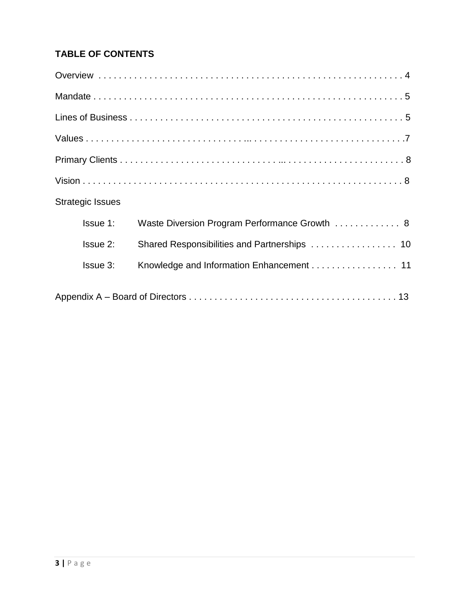# **TABLE OF CONTENTS**

| <b>Strategic Issues</b> |                                               |  |
|-------------------------|-----------------------------------------------|--|
| Issue 1:                | Waste Diversion Program Performance Growth  8 |  |
| Issue 2:                |                                               |  |
| <b>Issue 3:</b>         | Knowledge and Information Enhancement 11      |  |
|                         |                                               |  |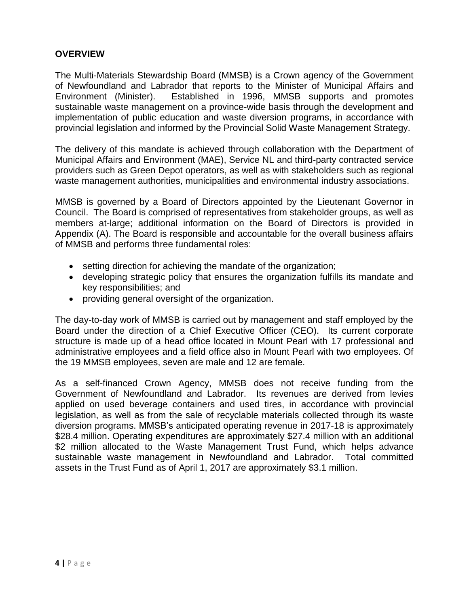## **OVERVIEW**

The Multi-Materials Stewardship Board (MMSB) is a Crown agency of the Government of Newfoundland and Labrador that reports to the Minister of Municipal Affairs and Environment (Minister). Established in 1996, MMSB supports and promotes sustainable waste management on a province-wide basis through the development and implementation of public education and waste diversion programs, in accordance with provincial legislation and informed by the Provincial Solid Waste Management Strategy.

The delivery of this mandate is achieved through collaboration with the Department of Municipal Affairs and Environment (MAE), Service NL and third-party contracted service providers such as Green Depot operators, as well as with stakeholders such as regional waste management authorities, municipalities and environmental industry associations.

MMSB is governed by a Board of Directors appointed by the Lieutenant Governor in Council. The Board is comprised of representatives from stakeholder groups, as well as members at-large; additional information on the Board of Directors is provided in Appendix (A). The Board is responsible and accountable for the overall business affairs of MMSB and performs three fundamental roles:

- setting direction for achieving the mandate of the organization;
- developing strategic policy that ensures the organization fulfills its mandate and key responsibilities; and
- providing general oversight of the organization.

The day-to-day work of MMSB is carried out by management and staff employed by the Board under the direction of a Chief Executive Officer (CEO). Its current corporate structure is made up of a head office located in Mount Pearl with 17 professional and administrative employees and a field office also in Mount Pearl with two employees. Of the 19 MMSB employees, seven are male and 12 are female.

As a self-financed Crown Agency, MMSB does not receive funding from the Government of Newfoundland and Labrador. Its revenues are derived from levies applied on used beverage containers and used tires, in accordance with provincial legislation, as well as from the sale of recyclable materials collected through its waste diversion programs. MMSB's anticipated operating revenue in 2017-18 is approximately \$28.4 million. Operating expenditures are approximately \$27.4 million with an additional \$2 million allocated to the Waste Management Trust Fund, which helps advance sustainable waste management in Newfoundland and Labrador. Total committed assets in the Trust Fund as of April 1, 2017 are approximately \$3.1 million.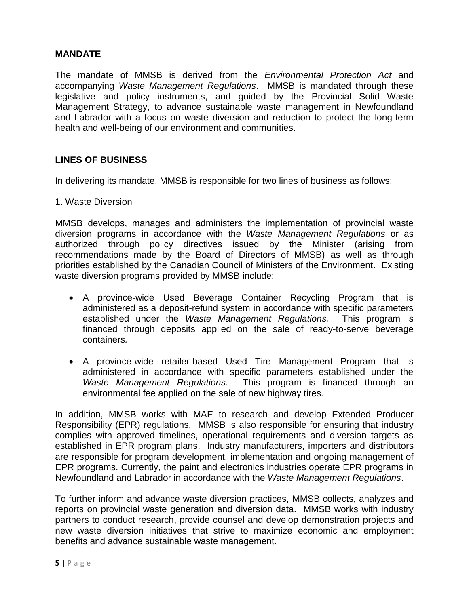### **MANDATE**

The mandate of MMSB is derived from the *Environmental Protection Act* and accompanying *Waste Management Regulations*. MMSB is mandated through these legislative and policy instruments, and guided by the Provincial Solid Waste Management Strategy, to advance sustainable waste management in Newfoundland and Labrador with a focus on waste diversion and reduction to protect the long-term health and well-being of our environment and communities.

### **LINES OF BUSINESS**

In delivering its mandate, MMSB is responsible for two lines of business as follows:

1. Waste Diversion

MMSB develops, manages and administers the implementation of provincial waste diversion programs in accordance with the *Waste Management Regulations* or as authorized through policy directives issued by the Minister (arising from recommendations made by the Board of Directors of MMSB) as well as through priorities established by the Canadian Council of Ministers of the Environment. Existing waste diversion programs provided by MMSB include:

- A province-wide Used Beverage Container Recycling Program that is administered as a deposit-refund system in accordance with specific parameters established under the *Waste Management Regulations.* This program is financed through deposits applied on the sale of ready-to-serve beverage containers*.*
- A province-wide retailer-based Used Tire Management Program that is administered in accordance with specific parameters established under the *Waste Management Regulations.* This program is financed through an environmental fee applied on the sale of new highway tires*.*

In addition, MMSB works with MAE to research and develop Extended Producer Responsibility (EPR) regulations. MMSB is also responsible for ensuring that industry complies with approved timelines, operational requirements and diversion targets as established in EPR program plans. Industry manufacturers, importers and distributors are responsible for program development, implementation and ongoing management of EPR programs. Currently, the paint and electronics industries operate EPR programs in Newfoundland and Labrador in accordance with the *Waste Management Regulations*.

To further inform and advance waste diversion practices, MMSB collects, analyzes and reports on provincial waste generation and diversion data. MMSB works with industry partners to conduct research, provide counsel and develop demonstration projects and new waste diversion initiatives that strive to maximize economic and employment benefits and advance sustainable waste management.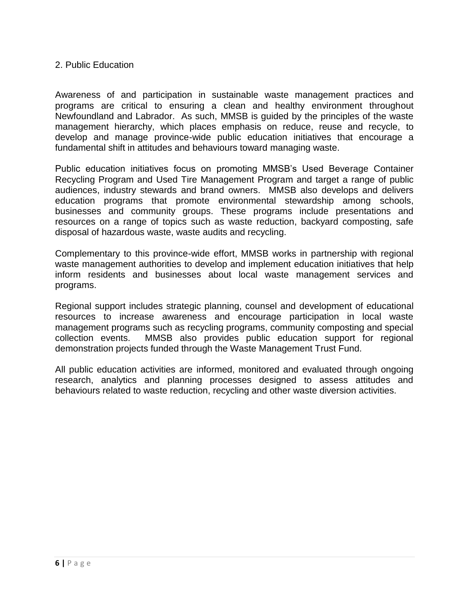### 2. Public Education

Awareness of and participation in sustainable waste management practices and programs are critical to ensuring a clean and healthy environment throughout Newfoundland and Labrador. As such, MMSB is guided by the principles of the waste management hierarchy, which places emphasis on reduce, reuse and recycle, to develop and manage province-wide public education initiatives that encourage a fundamental shift in attitudes and behaviours toward managing waste.

Public education initiatives focus on promoting MMSB's Used Beverage Container Recycling Program and Used Tire Management Program and target a range of public audiences, industry stewards and brand owners. MMSB also develops and delivers education programs that promote environmental stewardship among schools, businesses and community groups. These programs include presentations and resources on a range of topics such as waste reduction, backyard composting, safe disposal of hazardous waste, waste audits and recycling.

Complementary to this province-wide effort, MMSB works in partnership with regional waste management authorities to develop and implement education initiatives that help inform residents and businesses about local waste management services and programs.

Regional support includes strategic planning, counsel and development of educational resources to increase awareness and encourage participation in local waste management programs such as recycling programs, community composting and special collection events. MMSB also provides public education support for regional demonstration projects funded through the Waste Management Trust Fund.

All public education activities are informed, monitored and evaluated through ongoing research, analytics and planning processes designed to assess attitudes and behaviours related to waste reduction, recycling and other waste diversion activities.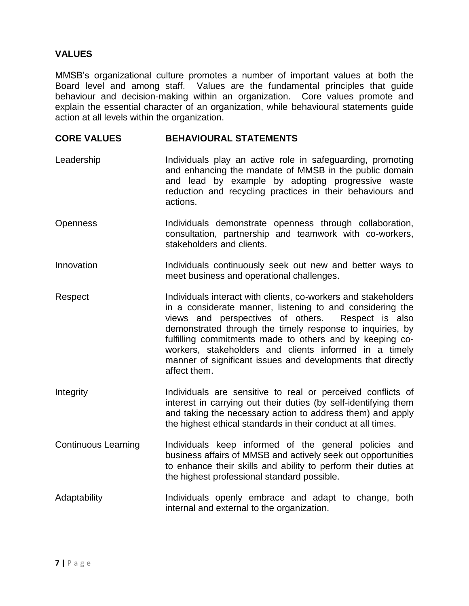## **VALUES**

MMSB's organizational culture promotes a number of important values at both the Board level and among staff. Values are the fundamental principles that guide behaviour and decision-making within an organization. Core values promote and explain the essential character of an organization, while behavioural statements guide action at all levels within the organization.

#### **CORE VALUES BEHAVIOURAL STATEMENTS**

- Leadership Individuals play an active role in safeguarding, promoting and enhancing the mandate of MMSB in the public domain and lead by example by adopting progressive waste reduction and recycling practices in their behaviours and actions.
- Openness Individuals demonstrate openness through collaboration, consultation, partnership and teamwork with co-workers, stakeholders and clients.
- Innovation **Individuals** continuously seek out new and better ways to meet business and operational challenges.
- Respect **Individuals interact with clients, co-workers and stakeholders** in a considerate manner, listening to and considering the views and perspectives of others. Respect is also demonstrated through the timely response to inquiries, by fulfilling commitments made to others and by keeping coworkers, stakeholders and clients informed in a timely manner of significant issues and developments that directly affect them.
- Integrity **Individuals** are sensitive to real or perceived conflicts of interest in carrying out their duties (by self-identifying them and taking the necessary action to address them) and apply the highest ethical standards in their conduct at all times.
- Continuous Learning Individuals keep informed of the general policies and business affairs of MMSB and actively seek out opportunities to enhance their skills and ability to perform their duties at the highest professional standard possible.
- Adaptability **Individuals** openly embrace and adapt to change, both internal and external to the organization.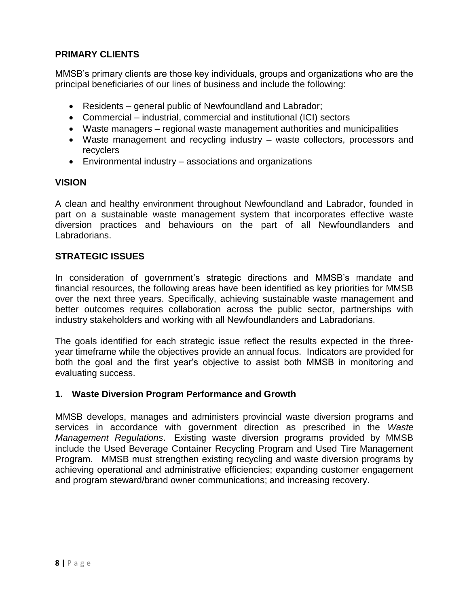## **PRIMARY CLIENTS**

MMSB's primary clients are those key individuals, groups and organizations who are the principal beneficiaries of our lines of business and include the following:

- Residents general public of Newfoundland and Labrador;
- Commercial industrial, commercial and institutional (ICI) sectors
- Waste managers regional waste management authorities and municipalities
- Waste management and recycling industry waste collectors, processors and recyclers
- Environmental industry associations and organizations

### **VISION**

A clean and healthy environment throughout Newfoundland and Labrador, founded in part on a sustainable waste management system that incorporates effective waste diversion practices and behaviours on the part of all Newfoundlanders and Labradorians.

### **STRATEGIC ISSUES**

In consideration of government's strategic directions and MMSB's mandate and financial resources, the following areas have been identified as key priorities for MMSB over the next three years. Specifically, achieving sustainable waste management and better outcomes requires collaboration across the public sector, partnerships with industry stakeholders and working with all Newfoundlanders and Labradorians.

The goals identified for each strategic issue reflect the results expected in the threeyear timeframe while the objectives provide an annual focus. Indicators are provided for both the goal and the first year's objective to assist both MMSB in monitoring and evaluating success.

### **1. Waste Diversion Program Performance and Growth**

MMSB develops, manages and administers provincial waste diversion programs and services in accordance with government direction as prescribed in the *Waste Management Regulations*. Existing waste diversion programs provided by MMSB include the Used Beverage Container Recycling Program and Used Tire Management Program. MMSB must strengthen existing recycling and waste diversion programs by achieving operational and administrative efficiencies; expanding customer engagement and program steward/brand owner communications; and increasing recovery.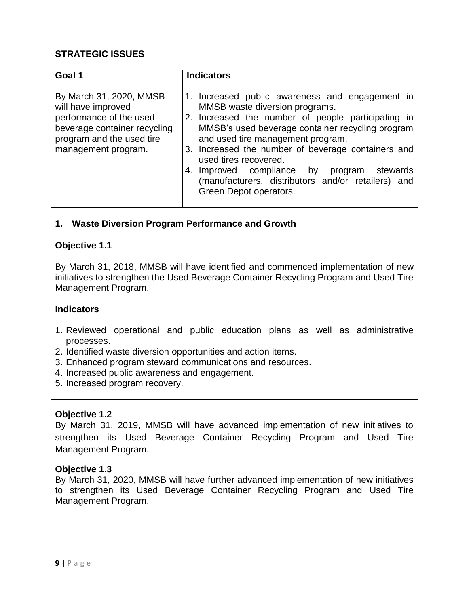| Goal 1                                                                                                                                                       | <b>Indicators</b>                                                                                                                                                                                                                                                                                                                                                                                                                                |
|--------------------------------------------------------------------------------------------------------------------------------------------------------------|--------------------------------------------------------------------------------------------------------------------------------------------------------------------------------------------------------------------------------------------------------------------------------------------------------------------------------------------------------------------------------------------------------------------------------------------------|
| By March 31, 2020, MMSB<br>will have improved<br>performance of the used<br>beverage container recycling<br>program and the used tire<br>management program. | 1. Increased public awareness and engagement in<br>MMSB waste diversion programs.<br>2. Increased the number of people participating in<br>MMSB's used beverage container recycling program<br>and used tire management program.<br>3. Increased the number of beverage containers and<br>used tires recovered.<br>4. Improved compliance by program<br>stewards<br>(manufacturers, distributors and/or retailers) and<br>Green Depot operators. |

### **1. Waste Diversion Program Performance and Growth**

### **Objective 1.1**

By March 31, 2018, MMSB will have identified and commenced implementation of new initiatives to strengthen the Used Beverage Container Recycling Program and Used Tire Management Program.

### **Indicators**

- 1. Reviewed operational and public education plans as well as administrative processes.
- 2. Identified waste diversion opportunities and action items.
- 3. Enhanced program steward communications and resources.
- 4. Increased public awareness and engagement.
- 5. Increased program recovery.

#### **Objective 1.2**

By March 31, 2019, MMSB will have advanced implementation of new initiatives to strengthen its Used Beverage Container Recycling Program and Used Tire Management Program.

### **Objective 1.3**

By March 31, 2020, MMSB will have further advanced implementation of new initiatives to strengthen its Used Beverage Container Recycling Program and Used Tire Management Program.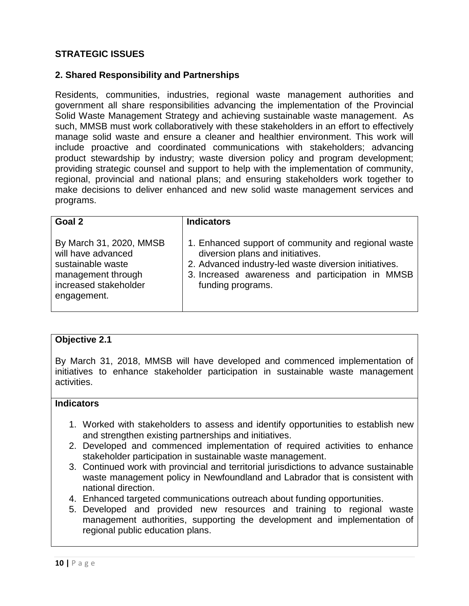### **2. Shared Responsibility and Partnerships**

Residents, communities, industries, regional waste management authorities and government all share responsibilities advancing the implementation of the Provincial Solid Waste Management Strategy and achieving sustainable waste management. As such, MMSB must work collaboratively with these stakeholders in an effort to effectively manage solid waste and ensure a cleaner and healthier environment. This work will include proactive and coordinated communications with stakeholders; advancing product stewardship by industry; waste diversion policy and program development; providing strategic counsel and support to help with the implementation of community, regional, provincial and national plans; and ensuring stakeholders work together to make decisions to deliver enhanced and new solid waste management services and programs.

| Goal 2                                                                                                                           | <b>Indicators</b>                                                                                                                                                                                                         |
|----------------------------------------------------------------------------------------------------------------------------------|---------------------------------------------------------------------------------------------------------------------------------------------------------------------------------------------------------------------------|
| By March 31, 2020, MMSB<br>will have advanced<br>sustainable waste<br>management through<br>increased stakeholder<br>engagement. | 1. Enhanced support of community and regional waste<br>diversion plans and initiatives.<br>2. Advanced industry-led waste diversion initiatives.<br>3. Increased awareness and participation in MMSB<br>funding programs. |

### **Objective 2.1**

By March 31, 2018, MMSB will have developed and commenced implementation of initiatives to enhance stakeholder participation in sustainable waste management activities.

### **Indicators**

- 1. Worked with stakeholders to assess and identify opportunities to establish new and strengthen existing partnerships and initiatives.
- 2. Developed and commenced implementation of required activities to enhance stakeholder participation in sustainable waste management.
- 3. Continued work with provincial and territorial jurisdictions to advance sustainable waste management policy in Newfoundland and Labrador that is consistent with national direction.
- 4. Enhanced targeted communications outreach about funding opportunities.
- 5. Developed and provided new resources and training to regional waste management authorities, supporting the development and implementation of regional public education plans.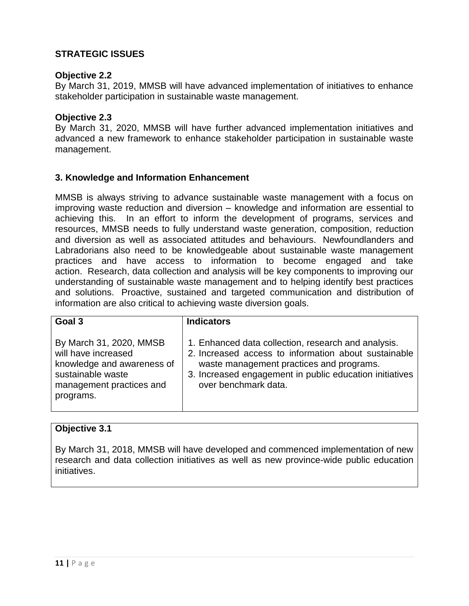#### **Objective 2.2**

By March 31, 2019, MMSB will have advanced implementation of initiatives to enhance stakeholder participation in sustainable waste management.

#### **Objective 2.3**

By March 31, 2020, MMSB will have further advanced implementation initiatives and advanced a new framework to enhance stakeholder participation in sustainable waste management.

#### **3. Knowledge and Information Enhancement**

MMSB is always striving to advance sustainable waste management with a focus on improving waste reduction and diversion – knowledge and information are essential to achieving this. In an effort to inform the development of programs, services and resources, MMSB needs to fully understand waste generation, composition, reduction and diversion as well as associated attitudes and behaviours. Newfoundlanders and Labradorians also need to be knowledgeable about sustainable waste management practices and have access to information to become engaged and take action. Research, data collection and analysis will be key components to improving our understanding of sustainable waste management and to helping identify best practices and solutions. Proactive, sustained and targeted communication and distribution of information are also critical to achieving waste diversion goals.

| Goal 3                                                                                                                                     | <b>Indicators</b>                                                                                                                                                                                                                          |
|--------------------------------------------------------------------------------------------------------------------------------------------|--------------------------------------------------------------------------------------------------------------------------------------------------------------------------------------------------------------------------------------------|
| By March 31, 2020, MMSB<br>will have increased<br>knowledge and awareness of<br>sustainable waste<br>management practices and<br>programs. | 1. Enhanced data collection, research and analysis.<br>2. Increased access to information about sustainable<br>waste management practices and programs.<br>3. Increased engagement in public education initiatives<br>over benchmark data. |

#### **Objective 3.1**

By March 31, 2018, MMSB will have developed and commenced implementation of new research and data collection initiatives as well as new province-wide public education initiatives.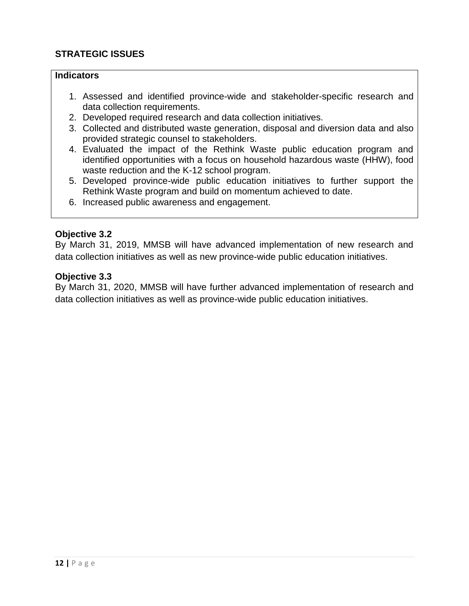### **Indicators**

- 1. Assessed and identified province-wide and stakeholder-specific research and data collection requirements.
- 2. Developed required research and data collection initiatives.
- 3. Collected and distributed waste generation, disposal and diversion data and also provided strategic counsel to stakeholders.
- 4. Evaluated the impact of the Rethink Waste public education program and identified opportunities with a focus on household hazardous waste (HHW), food waste reduction and the K-12 school program.
- 5. Developed province-wide public education initiatives to further support the Rethink Waste program and build on momentum achieved to date.
- 6. Increased public awareness and engagement.

#### **Objective 3.2**

By March 31, 2019, MMSB will have advanced implementation of new research and data collection initiatives as well as new province-wide public education initiatives.

#### **Objective 3.3**

By March 31, 2020, MMSB will have further advanced implementation of research and data collection initiatives as well as province-wide public education initiatives.